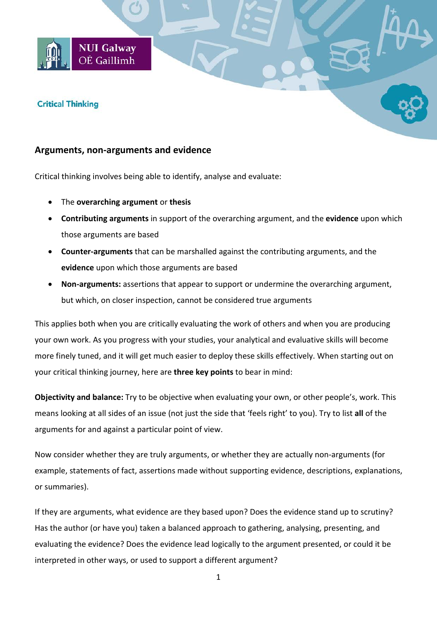# **Critical Thinking**

## **Arguments, non-arguments and evidence**

**NUI Galway** OÉ Gaillimh

Critical thinking involves being able to identify, analyse and evaluate:

- The **overarching argument** or **thesis**
- **Contributing arguments** in support of the overarching argument, and the **evidence** upon which those arguments are based
- **Counter-arguments** that can be marshalled against the contributing arguments, and the **evidence** upon which those arguments are based
- **Non-arguments:** assertions that appear to support or undermine the overarching argument, but which, on closer inspection, cannot be considered true arguments

This applies both when you are critically evaluating the work of others and when you are producing your own work. As you progress with your studies, your analytical and evaluative skills will become more finely tuned, and it will get much easier to deploy these skills effectively. When starting out on your critical thinking journey, here are **three key points** to bear in mind:

**Objectivity and balance:** Try to be objective when evaluating your own, or other people's, work. This means looking at all sides of an issue (not just the side that 'feels right' to you). Try to list **all** of the arguments for and against a particular point of view.

Now consider whether they are truly arguments, or whether they are actually non-arguments (for example, statements of fact, assertions made without supporting evidence, descriptions, explanations, or summaries).

If they are arguments, what evidence are they based upon? Does the evidence stand up to scrutiny? Has the author (or have you) taken a balanced approach to gathering, analysing, presenting, and evaluating the evidence? Does the evidence lead logically to the argument presented, or could it be interpreted in other ways, or used to support a different argument?